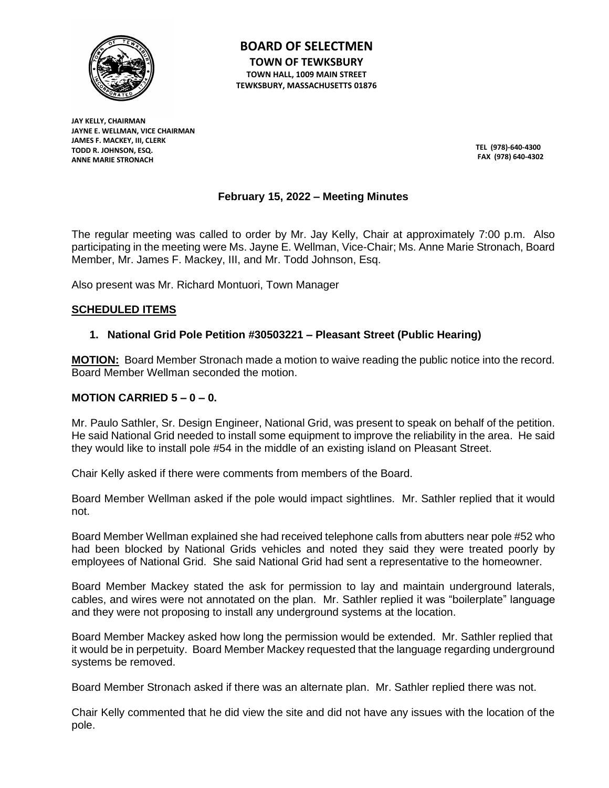

**BOARD OF SELECTMEN TOWN OF TEWKSBURY TOWN HALL, 1009 MAIN STREET TEWKSBURY, MASSACHUSETTS 01876**

**JAY KELLY, CHAIRMAN JAYNE E. WELLMAN, VICE CHAIRMAN JAMES F. MACKEY, III, CLERK TODD R. JOHNSON, ESQ. ANNE MARIE STRONACH**

**TEL (978)-640-4300 FAX (978) 640-4302**

# **February 15, 2022 – Meeting Minutes**

The regular meeting was called to order by Mr. Jay Kelly, Chair at approximately 7:00 p.m. Also participating in the meeting were Ms. Jayne E. Wellman, Vice-Chair; Ms. Anne Marie Stronach, Board Member, Mr. James F. Mackey, III, and Mr. Todd Johnson, Esq.

Also present was Mr. Richard Montuori, Town Manager

### **SCHEDULED ITEMS**

### **1. National Grid Pole Petition #30503221 – Pleasant Street (Public Hearing)**

**MOTION:** Board Member Stronach made a motion to waive reading the public notice into the record. Board Member Wellman seconded the motion.

### **MOTION CARRIED 5 – 0 – 0.**

Mr. Paulo Sathler, Sr. Design Engineer, National Grid, was present to speak on behalf of the petition. He said National Grid needed to install some equipment to improve the reliability in the area. He said they would like to install pole #54 in the middle of an existing island on Pleasant Street.

Chair Kelly asked if there were comments from members of the Board.

Board Member Wellman asked if the pole would impact sightlines. Mr. Sathler replied that it would not.

Board Member Wellman explained she had received telephone calls from abutters near pole #52 who had been blocked by National Grids vehicles and noted they said they were treated poorly by employees of National Grid. She said National Grid had sent a representative to the homeowner.

Board Member Mackey stated the ask for permission to lay and maintain underground laterals, cables, and wires were not annotated on the plan. Mr. Sathler replied it was "boilerplate" language and they were not proposing to install any underground systems at the location.

Board Member Mackey asked how long the permission would be extended. Mr. Sathler replied that it would be in perpetuity. Board Member Mackey requested that the language regarding underground systems be removed.

Board Member Stronach asked if there was an alternate plan. Mr. Sathler replied there was not.

Chair Kelly commented that he did view the site and did not have any issues with the location of the pole.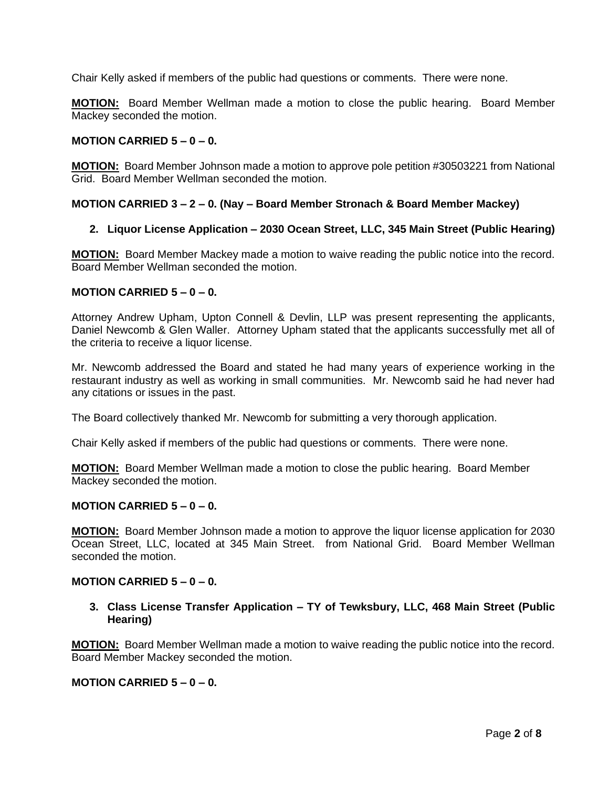Chair Kelly asked if members of the public had questions or comments. There were none.

**MOTION:** Board Member Wellman made a motion to close the public hearing. Board Member Mackey seconded the motion.

### **MOTION CARRIED 5 – 0 – 0.**

**MOTION:** Board Member Johnson made a motion to approve pole petition #30503221 from National Grid. Board Member Wellman seconded the motion.

### **MOTION CARRIED 3 – 2 – 0. (Nay – Board Member Stronach & Board Member Mackey)**

### **2. Liquor License Application – 2030 Ocean Street, LLC, 345 Main Street (Public Hearing)**

**MOTION:** Board Member Mackey made a motion to waive reading the public notice into the record. Board Member Wellman seconded the motion.

### **MOTION CARRIED 5 – 0 – 0.**

Attorney Andrew Upham, Upton Connell & Devlin, LLP was present representing the applicants, Daniel Newcomb & Glen Waller. Attorney Upham stated that the applicants successfully met all of the criteria to receive a liquor license.

Mr. Newcomb addressed the Board and stated he had many years of experience working in the restaurant industry as well as working in small communities. Mr. Newcomb said he had never had any citations or issues in the past.

The Board collectively thanked Mr. Newcomb for submitting a very thorough application.

Chair Kelly asked if members of the public had questions or comments. There were none.

**MOTION:** Board Member Wellman made a motion to close the public hearing. Board Member Mackey seconded the motion.

### **MOTION CARRIED 5 – 0 – 0.**

**MOTION:** Board Member Johnson made a motion to approve the liquor license application for 2030 Ocean Street, LLC, located at 345 Main Street. from National Grid. Board Member Wellman seconded the motion.

### **MOTION CARRIED**  $5 - 0 - 0$ **.**

### **3. Class License Transfer Application – TY of Tewksbury, LLC, 468 Main Street (Public Hearing)**

**MOTION:** Board Member Wellman made a motion to waive reading the public notice into the record. Board Member Mackey seconded the motion.

### **MOTION CARRIED 5 – 0 – 0.**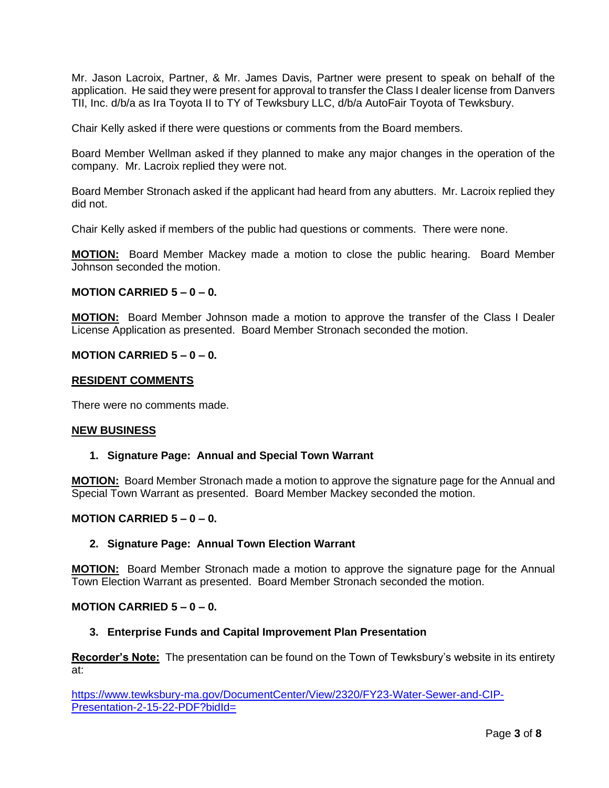Mr. Jason Lacroix, Partner, & Mr. James Davis, Partner were present to speak on behalf of the application. He said they were present for approval to transfer the Class I dealer license from Danvers TII, Inc. d/b/a as Ira Toyota II to TY of Tewksbury LLC, d/b/a AutoFair Toyota of Tewksbury.

Chair Kelly asked if there were questions or comments from the Board members.

Board Member Wellman asked if they planned to make any major changes in the operation of the company. Mr. Lacroix replied they were not.

Board Member Stronach asked if the applicant had heard from any abutters. Mr. Lacroix replied they did not.

Chair Kelly asked if members of the public had questions or comments. There were none.

**MOTION:** Board Member Mackey made a motion to close the public hearing. Board Member Johnson seconded the motion.

### **MOTION CARRIED 5 – 0 – 0.**

**MOTION:** Board Member Johnson made a motion to approve the transfer of the Class I Dealer License Application as presented. Board Member Stronach seconded the motion.

### **MOTION CARRIED**  $5 - 0 - 0$ **.**

### **RESIDENT COMMENTS**

There were no comments made.

#### **NEW BUSINESS**

### **1. Signature Page: Annual and Special Town Warrant**

**MOTION:** Board Member Stronach made a motion to approve the signature page for the Annual and Special Town Warrant as presented. Board Member Mackey seconded the motion.

### **MOTION CARRIED**  $5 - 0 - 0$ **.**

### **2. Signature Page: Annual Town Election Warrant**

**MOTION:** Board Member Stronach made a motion to approve the signature page for the Annual Town Election Warrant as presented. Board Member Stronach seconded the motion.

### **MOTION CARRIED 5 – 0 – 0.**

### **3. Enterprise Funds and Capital Improvement Plan Presentation**

**Recorder's Note:** The presentation can be found on the Town of Tewksbury's website in its entirety at:

[https://www.tewksbury-ma.gov/DocumentCenter/View/2320/FY23-Water-Sewer-and-CIP-](https://www.tewksbury-ma.gov/DocumentCenter/View/2320/FY23-Water-Sewer-and-CIP-Presentation-2-15-22-PDF?bidId=)[Presentation-2-15-22-PDF?bidId=](https://www.tewksbury-ma.gov/DocumentCenter/View/2320/FY23-Water-Sewer-and-CIP-Presentation-2-15-22-PDF?bidId=)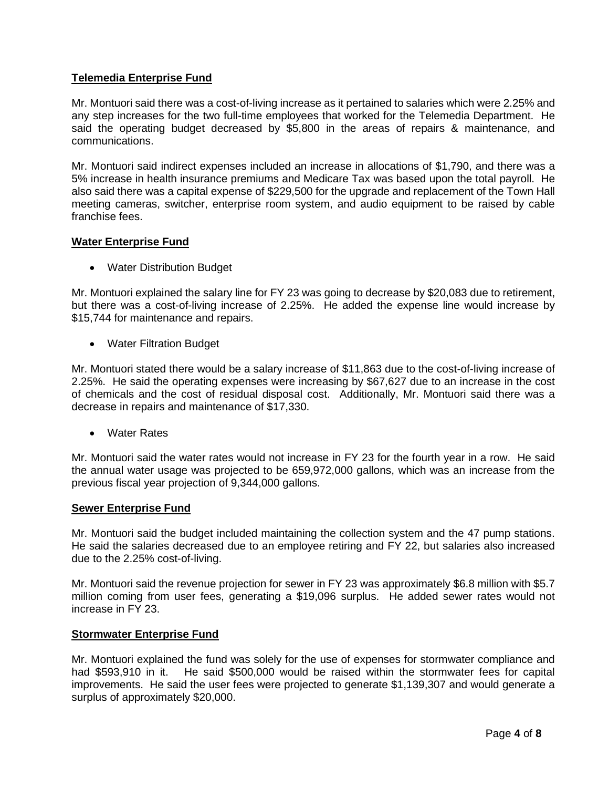## **Telemedia Enterprise Fund**

Mr. Montuori said there was a cost-of-living increase as it pertained to salaries which were 2.25% and any step increases for the two full-time employees that worked for the Telemedia Department. He said the operating budget decreased by \$5,800 in the areas of repairs & maintenance, and communications.

Mr. Montuori said indirect expenses included an increase in allocations of \$1,790, and there was a 5% increase in health insurance premiums and Medicare Tax was based upon the total payroll. He also said there was a capital expense of \$229,500 for the upgrade and replacement of the Town Hall meeting cameras, switcher, enterprise room system, and audio equipment to be raised by cable franchise fees.

### **Water Enterprise Fund**

• Water Distribution Budget

Mr. Montuori explained the salary line for FY 23 was going to decrease by \$20,083 due to retirement, but there was a cost-of-living increase of 2.25%. He added the expense line would increase by \$15,744 for maintenance and repairs.

• Water Filtration Budget

Mr. Montuori stated there would be a salary increase of \$11,863 due to the cost-of-living increase of 2.25%. He said the operating expenses were increasing by \$67,627 due to an increase in the cost of chemicals and the cost of residual disposal cost. Additionally, Mr. Montuori said there was a decrease in repairs and maintenance of \$17,330.

• Water Rates

Mr. Montuori said the water rates would not increase in FY 23 for the fourth year in a row. He said the annual water usage was projected to be 659,972,000 gallons, which was an increase from the previous fiscal year projection of 9,344,000 gallons.

### **Sewer Enterprise Fund**

Mr. Montuori said the budget included maintaining the collection system and the 47 pump stations. He said the salaries decreased due to an employee retiring and FY 22, but salaries also increased due to the 2.25% cost-of-living.

Mr. Montuori said the revenue projection for sewer in FY 23 was approximately \$6.8 million with \$5.7 million coming from user fees, generating a \$19,096 surplus. He added sewer rates would not increase in FY 23.

### **Stormwater Enterprise Fund**

Mr. Montuori explained the fund was solely for the use of expenses for stormwater compliance and had \$593,910 in it. He said \$500,000 would be raised within the stormwater fees for capital improvements. He said the user fees were projected to generate \$1,139,307 and would generate a surplus of approximately \$20,000.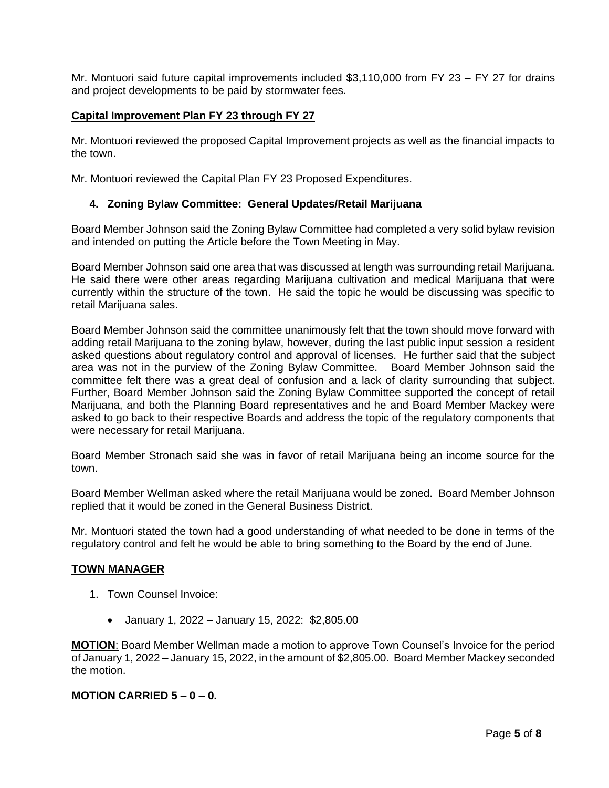Mr. Montuori said future capital improvements included \$3,110,000 from FY 23 – FY 27 for drains and project developments to be paid by stormwater fees.

## **Capital Improvement Plan FY 23 through FY 27**

Mr. Montuori reviewed the proposed Capital Improvement projects as well as the financial impacts to the town.

Mr. Montuori reviewed the Capital Plan FY 23 Proposed Expenditures.

### **4. Zoning Bylaw Committee: General Updates/Retail Marijuana**

Board Member Johnson said the Zoning Bylaw Committee had completed a very solid bylaw revision and intended on putting the Article before the Town Meeting in May.

Board Member Johnson said one area that was discussed at length was surrounding retail Marijuana. He said there were other areas regarding Marijuana cultivation and medical Marijuana that were currently within the structure of the town. He said the topic he would be discussing was specific to retail Marijuana sales.

Board Member Johnson said the committee unanimously felt that the town should move forward with adding retail Marijuana to the zoning bylaw, however, during the last public input session a resident asked questions about regulatory control and approval of licenses. He further said that the subject area was not in the purview of the Zoning Bylaw Committee. Board Member Johnson said the committee felt there was a great deal of confusion and a lack of clarity surrounding that subject. Further, Board Member Johnson said the Zoning Bylaw Committee supported the concept of retail Marijuana, and both the Planning Board representatives and he and Board Member Mackey were asked to go back to their respective Boards and address the topic of the regulatory components that were necessary for retail Marijuana.

Board Member Stronach said she was in favor of retail Marijuana being an income source for the town.

Board Member Wellman asked where the retail Marijuana would be zoned. Board Member Johnson replied that it would be zoned in the General Business District.

Mr. Montuori stated the town had a good understanding of what needed to be done in terms of the regulatory control and felt he would be able to bring something to the Board by the end of June.

### **TOWN MANAGER**

- 1. Town Counsel Invoice:
	- January 1, 2022 January 15, 2022: \$2,805.00

**MOTION**: Board Member Wellman made a motion to approve Town Counsel's Invoice for the period of January 1, 2022 – January 15, 2022, in the amount of \$2,805.00. Board Member Mackey seconded the motion.

## **MOTION CARRIED 5 – 0 – 0.**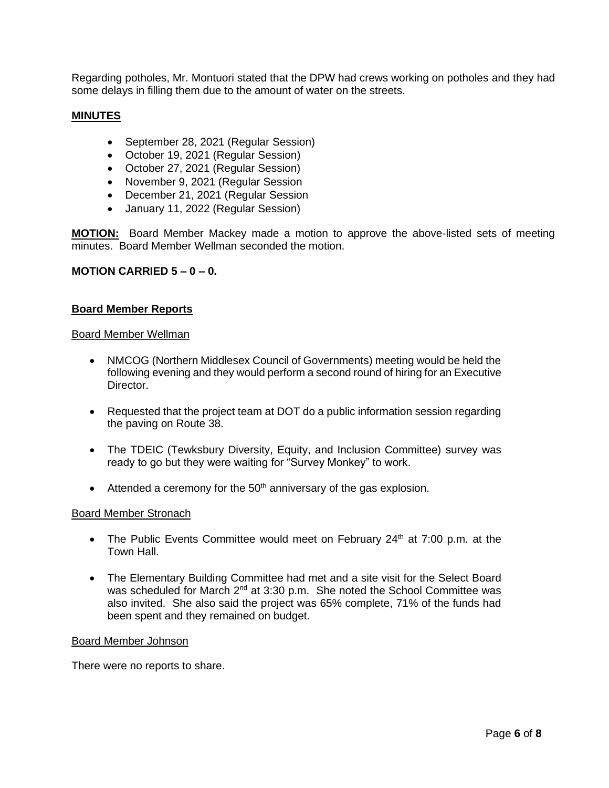Regarding potholes, Mr. Montuori stated that the DPW had crews working on potholes and they had some delays in filling them due to the amount of water on the streets.

### **MINUTES**

- September 28, 2021 (Regular Session)
- October 19, 2021 (Regular Session)
- October 27, 2021 (Regular Session)
- November 9, 2021 (Regular Session
- December 21, 2021 (Regular Session
- January 11, 2022 (Regular Session)

**MOTION:** Board Member Mackey made a motion to approve the above-listed sets of meeting minutes. Board Member Wellman seconded the motion.

### **MOTION CARRIED 5 – 0 – 0.**

### **Board Member Reports**

#### Board Member Wellman

- NMCOG (Northern Middlesex Council of Governments) meeting would be held the following evening and they would perform a second round of hiring for an Executive Director.
- Requested that the project team at DOT do a public information session regarding the paving on Route 38.
- The TDEIC (Tewksbury Diversity, Equity, and Inclusion Committee) survey was ready to go but they were waiting for "Survey Monkey" to work.
- Attended a ceremony for the  $50<sup>th</sup>$  anniversary of the gas explosion.

#### Board Member Stronach

- The Public Events Committee would meet on February  $24<sup>th</sup>$  at 7:00 p.m. at the Town Hall.
- The Elementary Building Committee had met and a site visit for the Select Board was scheduled for March 2<sup>nd</sup> at 3:30 p.m. She noted the School Committee was also invited. She also said the project was 65% complete, 71% of the funds had been spent and they remained on budget.

#### Board Member Johnson

There were no reports to share.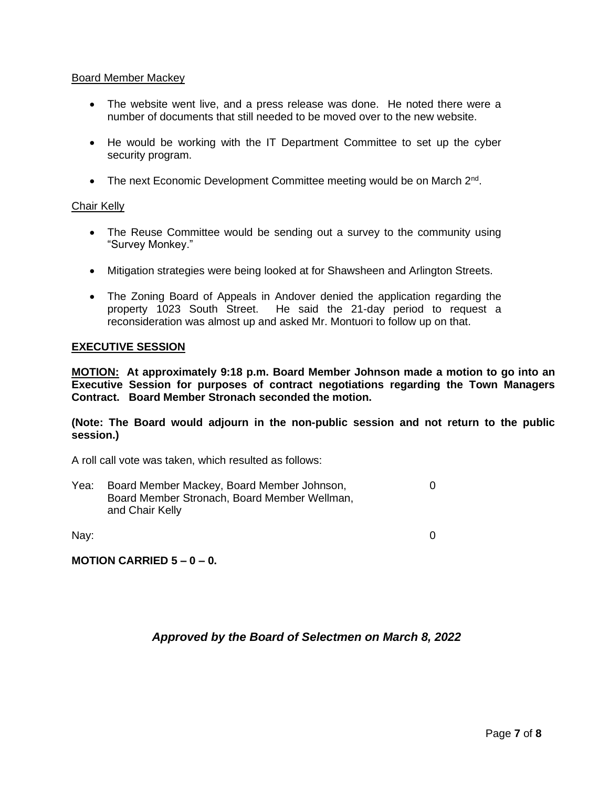### Board Member Mackey

- The website went live, and a press release was done. He noted there were a number of documents that still needed to be moved over to the new website.
- He would be working with the IT Department Committee to set up the cyber security program.
- The next Economic Development Committee meeting would be on March 2<sup>nd</sup>.

### Chair Kelly

- The Reuse Committee would be sending out a survey to the community using "Survey Monkey."
- Mitigation strategies were being looked at for Shawsheen and Arlington Streets.
- The Zoning Board of Appeals in Andover denied the application regarding the property 1023 South Street. He said the 21-day period to request a reconsideration was almost up and asked Mr. Montuori to follow up on that.

### **EXECUTIVE SESSION**

**MOTION: At approximately 9:18 p.m. Board Member Johnson made a motion to go into an Executive Session for purposes of contract negotiations regarding the Town Managers Contract. Board Member Stronach seconded the motion.** 

**(Note: The Board would adjourn in the non-public session and not return to the public session.)**

A roll call vote was taken, which resulted as follows:

Yea: Board Member Mackey, Board Member Johnson,  $\qquad 0$ Board Member Stronach, Board Member Wellman, and Chair Kelly

Nay: 0

**MOTION CARRIED 5 – 0 – 0.**

# *Approved by the Board of Selectmen on March 8, 2022*